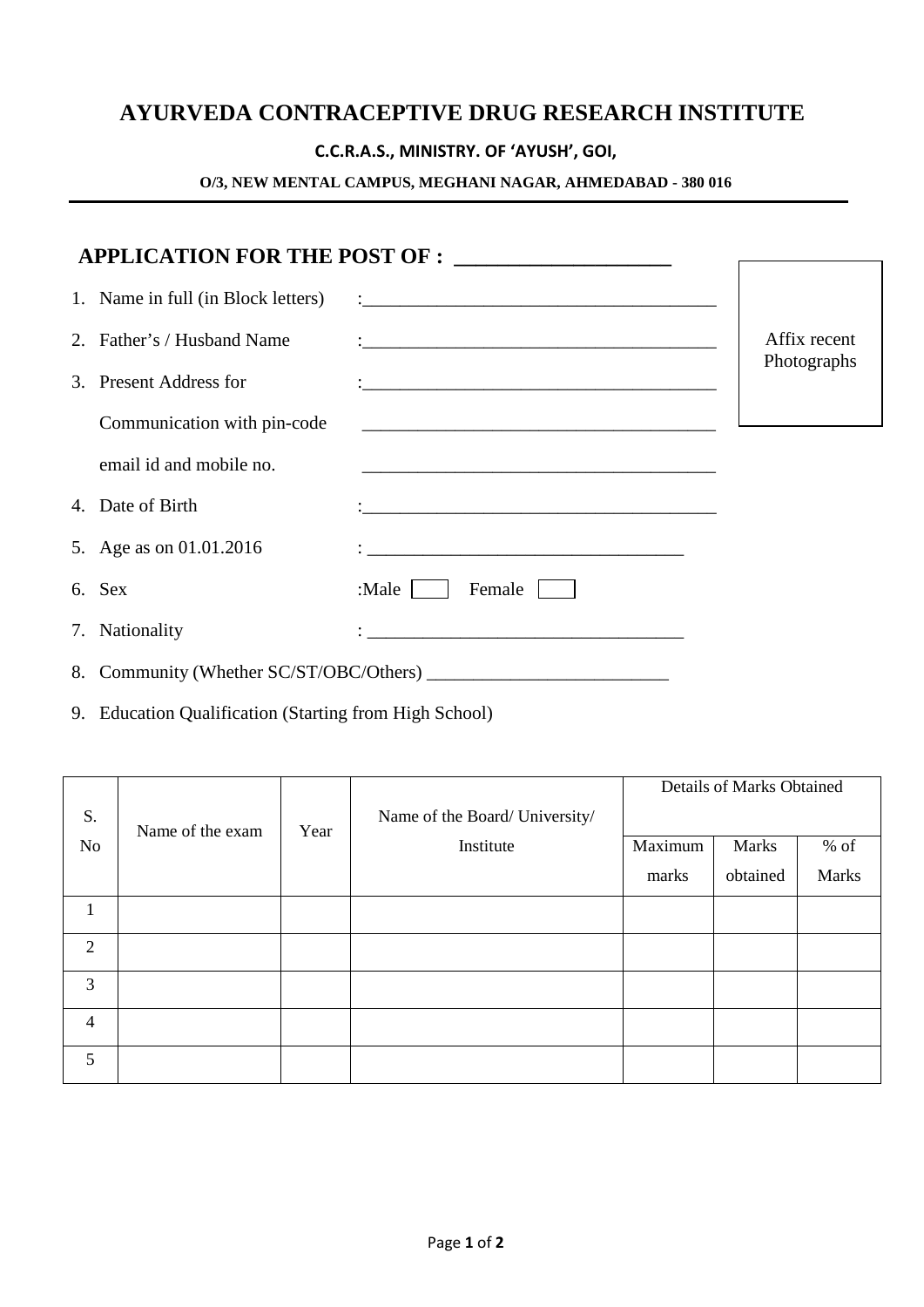# **AYURVEDA CONTRACEPTIVE DRUG RESEARCH INSTITUTE**

## **C.C.R.A.S., MINISTRY. OF 'AYUSH', GOI,**

### **O/3, NEW MENTAL CAMPUS, MEGHANI NAGAR, AHMEDABAD - 380 016**

|                                    | APPLICATION FOR THE POST OF : __________________                    |              |
|------------------------------------|---------------------------------------------------------------------|--------------|
|                                    |                                                                     |              |
| 1. Name in full (in Block letters) |                                                                     |              |
| 2. Father's / Husband Name         |                                                                     | Affix recent |
| 3. Present Address for             |                                                                     | Photographs  |
| Communication with pin-code        |                                                                     |              |
| email id and mobile no.            |                                                                     |              |
| 4. Date of Birth                   |                                                                     |              |
| 5. Age as on 01.01.2016            |                                                                     |              |
| 6. Sex                             | :Male $ $<br>Female                                                 |              |
| 7. Nationality                     | <u> 1989 - Johann Barbara, martxa alemaniar amerikan basar da a</u> |              |
|                                    |                                                                     |              |

9. Education Qualification (Starting from High School)

|                | Name of the exam | Year |                                             | Details of Marks Obtained |          |              |
|----------------|------------------|------|---------------------------------------------|---------------------------|----------|--------------|
| S.             |                  |      | Name of the Board/ University/<br>Institute |                           |          |              |
| No             |                  |      |                                             | Maximum                   | Marks    | $%$ of       |
|                |                  |      |                                             | marks                     | obtained | <b>Marks</b> |
| 1              |                  |      |                                             |                           |          |              |
| 2              |                  |      |                                             |                           |          |              |
| 3              |                  |      |                                             |                           |          |              |
| $\overline{4}$ |                  |      |                                             |                           |          |              |
| 5              |                  |      |                                             |                           |          |              |